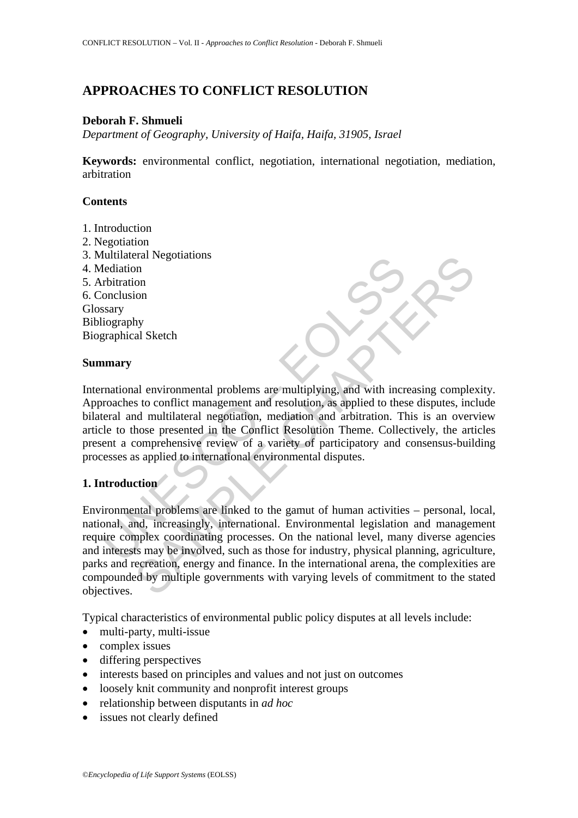# **APPROACHES TO CONFLICT RESOLUTION**

## **Deborah F. Shmueli**

*Department of Geography, University of Haifa, Haifa, 31905, Israel* 

**Keywords:** environmental conflict, negotiation, international negotiation, mediation, arbitration

## **Contents**

- 1. Introduction
- 2. Negotiation
- 3. Multilateral Negotiations
- 4. Mediation
- 5. Arbitration 6. Conclusion Glossary Bibliography
- Biographical Sketch

### **Summary**

Multilaterial Negoliations<br>
Interistion<br>
Interistion<br>
Interistion<br>
Search<br>
Interistion<br>
Search<br>
Interistion<br>
Search<br>
Thitration<br>
Search<br>
Search<br>
Transferend and multilateral negotiation, mediation, and arbitration. The<br>
In International environmental problems are multiplying, and with increasing complexity. Approaches to conflict management and resolution, as applied to these disputes, include bilateral and multilateral negotiation, mediation and arbitration. This is an overview article to those presented in the Conflict Resolution Theme. Collectively, the articles present a comprehensive review of a variety of participatory and consensus-building processes as applied to international environmental disputes.

# **1. Introduction**

The Sample State of the network of the method area and the state of the state of the state of the state of the state of the state of the state of the state of the state of the state of the state of the state of the state o Environmental problems are linked to the gamut of human activities – personal, local, national, and, increasingly, international. Environmental legislation and management require complex coordinating processes. On the national level, many diverse agencies and interests may be involved, such as those for industry, physical planning, agriculture, parks and recreation, energy and finance. In the international arena, the complexities are compounded by multiple governments with varying levels of commitment to the stated objectives.

Typical characteristics of environmental public policy disputes at all levels include:

- multi-party, multi-issue
- complex issues
- differing perspectives
- interests based on principles and values and not just on outcomes
- loosely knit community and nonprofit interest groups
- relationship between disputants in *ad hoc*
- issues not clearly defined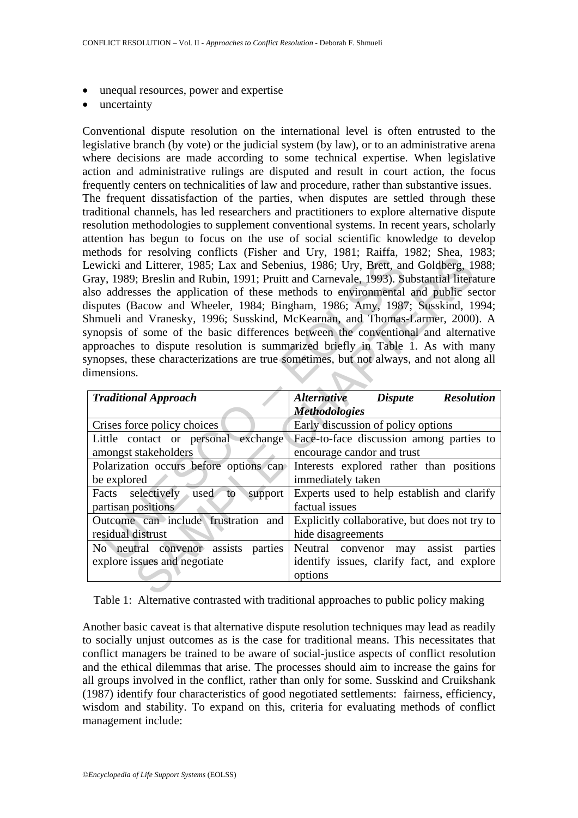- unequal resources, power and expertise
- uncertainty

Conventional dispute resolution on the international level is often entrusted to the legislative branch (by vote) or the judicial system (by law), or to an administrative arena where decisions are made according to some technical expertise. When legislative action and administrative rulings are disputed and result in court action, the focus frequently centers on technicalities of law and procedure, rather than substantive issues. The frequent dissatisfaction of the parties, when disputes are settled through these traditional channels, has led researchers and practitioners to explore alternative dispute resolution methodologies to supplement conventional systems. In recent years, scholarly attention has begun to focus on the use of social scientific knowledge to develop methods for resolving conflicts (Fisher and Ury, 1981; Raiffa, 1982; Shea, 1983; Lewicki and Litterer, 1985; Lax and Sebenius, 1986; Ury, Brett, and Goldberg, 1988; Gray, 1989; Breslin and Rubin, 1991; Pruitt and Carnevale, 1993). Substantial literature also addresses the application of these methods to environmental and public sector disputes (Bacow and Wheeler, 1984; Bingham, 1986; Amy, 1987; Susskind, 1994; Shmueli and Vranesky, 1996; Susskind, McKearnan, and Thomas-Larmer, 2000). A synopsis of some of the basic differences between the conventional and alternative approaches to dispute resolution is summarized briefly in Table 1. As with many synopses, these characterizations are true sometimes, but not always, and not along all dimensions.

| $\mu$ and $\mu$ is the comment of the contribution of $\mu$ , $\mu$ , $\mu$ , $\mu$ , $\mu$ , $\mu$ , $\mu$ , $\mu$ , $\mu$ , $\mu$ , $\mu$ , $\mu$ , $\mu$ , $\mu$ , $\mu$ , $\mu$ , $\mu$ , $\mu$ , $\mu$ , $\mu$ , $\mu$ , $\mu$ , $\mu$ , $\mu$ , $\mu$ , $\mu$ , $\mu$ , $\mu$ ,<br>Lewicki and Litterer, 1985; Lax and Sebenius, 1986; Ury, Brett, and Goldberg, 1988;<br>Gray, 1989; Breslin and Rubin, 1991; Pruitt and Carnevale, 1993). Substantial literature<br>also addresses the application of these methods to environmental and public sector<br>disputes (Bacow and Wheeler, 1984; Bingham, 1986; Amy, 1987; Susskind, 1994;<br>Shmueli and Vranesky, 1996; Susskind, McKearnan, and Thomas-Larmer, 2000). A<br>synopsis of some of the basic differences between the conventional and alternative<br>approaches to dispute resolution is summarized briefly in Table 1. As with many<br>synopses, these characterizations are true sometimes, but not always, and not along all<br>dimensions. |                                                                                                 |
|-------------------------------------------------------------------------------------------------------------------------------------------------------------------------------------------------------------------------------------------------------------------------------------------------------------------------------------------------------------------------------------------------------------------------------------------------------------------------------------------------------------------------------------------------------------------------------------------------------------------------------------------------------------------------------------------------------------------------------------------------------------------------------------------------------------------------------------------------------------------------------------------------------------------------------------------------------------------------------------------------------------------|-------------------------------------------------------------------------------------------------|
| <b>Traditional Approach</b>                                                                                                                                                                                                                                                                                                                                                                                                                                                                                                                                                                                                                                                                                                                                                                                                                                                                                                                                                                                       | <b>Alternative</b><br><b>Dispute</b><br><b>Resolution</b><br><i>Methodologies</i>               |
| Crises force policy choices                                                                                                                                                                                                                                                                                                                                                                                                                                                                                                                                                                                                                                                                                                                                                                                                                                                                                                                                                                                       | Early discussion of policy options                                                              |
| Little contact or personal exchange<br>amongst stakeholders                                                                                                                                                                                                                                                                                                                                                                                                                                                                                                                                                                                                                                                                                                                                                                                                                                                                                                                                                       | Face-to-face discussion among parties to<br>encourage candor and trust                          |
| Polarization occurs before options can<br>be explored                                                                                                                                                                                                                                                                                                                                                                                                                                                                                                                                                                                                                                                                                                                                                                                                                                                                                                                                                             | Interests explored rather than positions<br>immediately taken                                   |
| Facts<br>selectively used<br>support<br>to<br>partisan positions                                                                                                                                                                                                                                                                                                                                                                                                                                                                                                                                                                                                                                                                                                                                                                                                                                                                                                                                                  | Experts used to help establish and clarify<br>factual issues                                    |
| Outcome can include frustration and<br>residual distrust                                                                                                                                                                                                                                                                                                                                                                                                                                                                                                                                                                                                                                                                                                                                                                                                                                                                                                                                                          | Explicitly collaborative, but does not try to<br>hide disagreements                             |
| No neutral convenor assists parties<br>explore issues and negotiate                                                                                                                                                                                                                                                                                                                                                                                                                                                                                                                                                                                                                                                                                                                                                                                                                                                                                                                                               | Neutral convenor may<br>assist parties<br>identify issues, clarify fact, and explore<br>options |
|                                                                                                                                                                                                                                                                                                                                                                                                                                                                                                                                                                                                                                                                                                                                                                                                                                                                                                                                                                                                                   |                                                                                                 |

Table 1: Alternative contrasted with traditional approaches to public policy making

Another basic caveat is that alternative dispute resolution techniques may lead as readily to socially unjust outcomes as is the case for traditional means. This necessitates that conflict managers be trained to be aware of social-justice aspects of conflict resolution and the ethical dilemmas that arise. The processes should aim to increase the gains for all groups involved in the conflict, rather than only for some. Susskind and Cruikshank (1987) identify four characteristics of good negotiated settlements: fairness, efficiency, wisdom and stability. To expand on this, criteria for evaluating methods of conflict management include: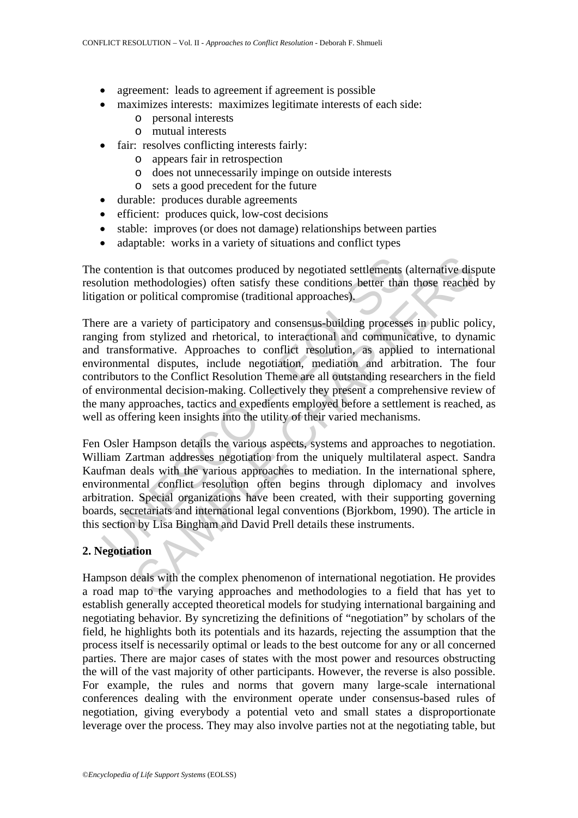- agreement: leads to agreement if agreement is possible
- maximizes interests: maximizes legitimate interests of each side:
	- o personal interests
	- o mutual interests
- fair: resolves conflicting interests fairly:
	- o appears fair in retrospection
	- o does not unnecessarily impinge on outside interests
	- o sets a good precedent for the future
- durable: produces durable agreements
- efficient: produces quick, low-cost decisions
- stable: improves (or does not damage) relationships between parties
- adaptable: works in a variety of situations and conflict types

The contention is that outcomes produced by negotiated settlements (alternative dispute resolution methodologies) often satisfy these conditions better than those reached by litigation or political compromise (traditional approaches).

contention is that outcomes produced by negotiated settlements sultion methodologies) often satisfy these conditions better than ation or political compromise (traditional approaches).<br>The are a variety of participatory an ition is that outcomes produced by negotiated settlements (alternative dis<br>methodologies) often satisfy these conditions better than those reached<br>r political compromise (traditional approaches).<br>a variety of participatory There are a variety of participatory and consensus-building processes in public policy, ranging from stylized and rhetorical, to interactional and communicative, to dynamic and transformative. Approaches to conflict resolution, as applied to international environmental disputes, include negotiation, mediation and arbitration. The four contributors to the Conflict Resolution Theme are all outstanding researchers in the field of environmental decision-making. Collectively they present a comprehensive review of the many approaches, tactics and expedients employed before a settlement is reached, as well as offering keen insights into the utility of their varied mechanisms.

Fen Osler Hampson details the various aspects, systems and approaches to negotiation. William Zartman addresses negotiation from the uniquely multilateral aspect. Sandra Kaufman deals with the various approaches to mediation. In the international sphere, environmental conflict resolution often begins through diplomacy and involves arbitration. Special organizations have been created, with their supporting governing boards, secretariats and international legal conventions (Bjorkbom, 1990). The article in this section by Lisa Bingham and David Prell details these instruments.

# **2. Negotiation**

Hampson deals with the complex phenomenon of international negotiation. He provides a road map to the varying approaches and methodologies to a field that has yet to establish generally accepted theoretical models for studying international bargaining and negotiating behavior. By syncretizing the definitions of "negotiation" by scholars of the field, he highlights both its potentials and its hazards, rejecting the assumption that the process itself is necessarily optimal or leads to the best outcome for any or all concerned parties. There are major cases of states with the most power and resources obstructing the will of the vast majority of other participants. However, the reverse is also possible. For example, the rules and norms that govern many large-scale international conferences dealing with the environment operate under consensus-based rules of negotiation, giving everybody a potential veto and small states a disproportionate leverage over the process. They may also involve parties not at the negotiating table, but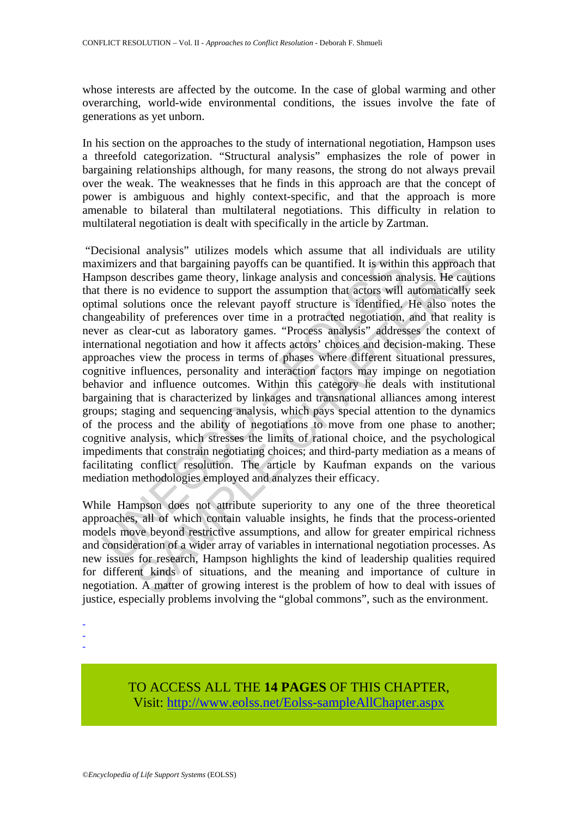whose interests are affected by the outcome. In the case of global warming and other overarching, world-wide environmental conditions, the issues involve the fate of generations as yet unborn.

In his section on the approaches to the study of international negotiation, Hampson uses a threefold categorization. "Structural analysis" emphasizes the role of power in bargaining relationships although, for many reasons, the strong do not always prevail over the weak. The weaknesses that he finds in this approach are that the concept of power is ambiguous and highly context-specific, and that the approach is more amenable to bilateral than multilateral negotiations. This difficulty in relation to multilateral negotiation is dealt with specifically in the article by Zartman.

imizers and that bargaining payoffs can be quantified. It is within<br>mpson describes game theory, linkage analysis and concession an<br>there is no evidence to support the assumption that actors will<br>mal solutions once the rel s and that bargaining payoffs can be quantified. It is within this approach<br>lescribes game theory, linkage analysis and concession analysis. He caut<br>lescribes game theory, linkage analysis and concession analysis. He caut<br> "Decisional analysis" utilizes models which assume that all individuals are utility maximizers and that bargaining payoffs can be quantified. It is within this approach that Hampson describes game theory, linkage analysis and concession analysis. He cautions that there is no evidence to support the assumption that actors will automatically seek optimal solutions once the relevant payoff structure is identified. He also notes the changeability of preferences over time in a protracted negotiation, and that reality is never as clear-cut as laboratory games. "Process analysis" addresses the context of international negotiation and how it affects actors' choices and decision-making. These approaches view the process in terms of phases where different situational pressures, cognitive influences, personality and interaction factors may impinge on negotiation behavior and influence outcomes. Within this category he deals with institutional bargaining that is characterized by linkages and transnational alliances among interest groups; staging and sequencing analysis, which pays special attention to the dynamics of the process and the ability of negotiations to move from one phase to another; cognitive analysis, which stresses the limits of rational choice, and the psychological impediments that constrain negotiating choices; and third-party mediation as a means of facilitating conflict resolution. The article by Kaufman expands on the various mediation methodologies employed and analyzes their efficacy.

While Hampson does not attribute superiority to any one of the three theoretical approaches, all of which contain valuable insights, he finds that the process-oriented models move beyond restrictive assumptions, and allow for greater empirical richness and consideration of a wider array of variables in international negotiation processes. As new issues for research, Hampson highlights the kind of leadership qualities required for different kinds of situations, and the meaning and importance of culture in negotiation. A matter of growing interest is the problem of how to deal with issues of justice, especially problems involving the "global commons", such as the environment.

-

- -

> TO ACCESS ALL THE **14 PAGES** OF THIS CHAPTER, Visit: [http://www.eolss.net/Eolss-sampleAllChapter.aspx](https://www.eolss.net/ebooklib/sc_cart.aspx?File=E1-40-03)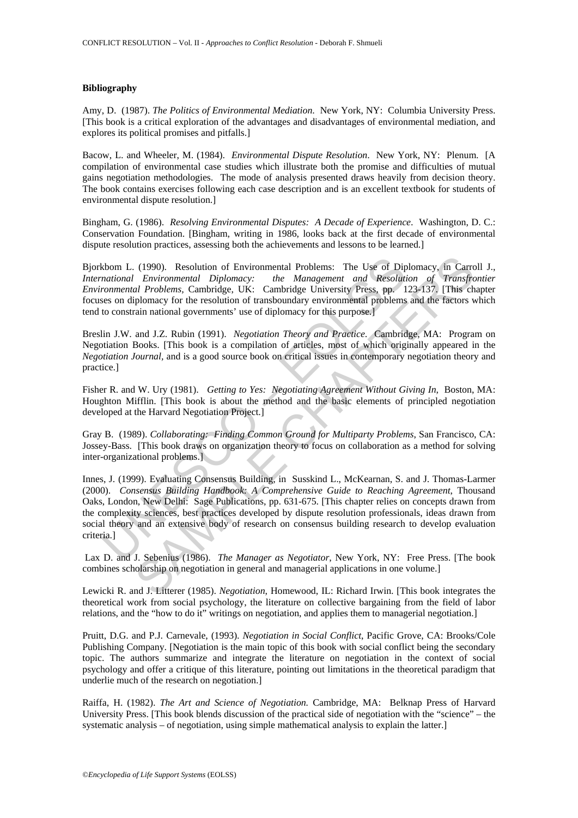#### **Bibliography**

Amy, D. (1987). *The Politics of Environmental Mediation*. New York, NY: Columbia University Press. [This book is a critical exploration of the advantages and disadvantages of environmental mediation, and explores its political promises and pitfalls.]

Bacow, L. and Wheeler, M. (1984). *Environmental Dispute Resolution*. New York, NY: Plenum. [A compilation of environmental case studies which illustrate both the promise and difficulties of mutual gains negotiation methodologies. The mode of analysis presented draws heavily from decision theory. The book contains exercises following each case description and is an excellent textbook for students of environmental dispute resolution.]

Bingham, G. (1986). *Resolving Environmental Disputes: A Decade of Experience*. Washington, D. C.: Conservation Foundation. [Bingham, writing in 1986, looks back at the first decade of environmental dispute resolution practices, assessing both the achievements and lessons to be learned.]

Bjorkbom L. (1990). Resolution of Environmental Problems: The Use of Diplomacy, in Carroll J., *International Environmental Diplomacy: the Management and Resolution of Transfrontier Environmental Problems,* Cambridge, UK: Cambridge University Press, pp. 123-137. [This chapter focuses on diplomacy for the resolution of transboundary environmental problems and the factors which tend to constrain national governments' use of diplomacy for this purpose.]

Breslin J.W. and J.Z. Rubin (1991). *Negotiation Theory and Practice*. Cambridge, MA: Program on Negotiation Books. [This book is a compilation of articles, most of which originally appeared in the *Negotiation Journal,* and is a good source book on critical issues in contemporary negotiation theory and practice.]

Fisher R. and W. Ury (1981). *Getting to Yes: Negotiating Agreement Without Giving In*, Boston, MA: Houghton Mifflin. [This book is about the method and the basic elements of principled negotiation developed at the Harvard Negotiation Project.]

Gray B. (1989). *Collaborating: Finding Common Ground for Multiparty Problems*, San Francisco, CA: Jossey-Bass. [This book draws on organization theory to focus on collaboration as a method for solving inter-organizational problems.]

kbom L. (1990). Resolution of Environmental Problems: The Use of Dip<br>mational Environmental Diplomacy: the Management and Resolution<br>rommental Problems; Cambridge, UK: Cambridge University Press, pp. 1<br>is constrain nationa (1990). Resolution of Environmental Problems: The Use of Diplomacy, in Carry *Environmental Diplomacy*: *the Management and Resolution of Transfrogenty (We. Cambridge University Press, pp. 123-137, [This char Problems for* Innes, J. (1999). Evaluating Consensus Building, in Susskind L., McKearnan, S. and J. Thomas-Larmer (2000). *Consensus Building Handbook: A Comprehensive Guide to Reaching Agreement*, Thousand Oaks, London, New Delhi: Sage Publications, pp. 631-675. [This chapter relies on concepts drawn from the complexity sciences, best practices developed by dispute resolution professionals, ideas drawn from social theory and an extensive body of research on consensus building research to develop evaluation criteria.]

 Lax D. and J. Sebenius (1986). *The Manager as Negotiator*, New York, NY: Free Press. [The book combines scholarship on negotiation in general and managerial applications in one volume.]

Lewicki R. and J. Litterer (1985). *Negotiation*, Homewood, IL: Richard Irwin. [This book integrates the theoretical work from social psychology, the literature on collective bargaining from the field of labor relations, and the "how to do it" writings on negotiation, and applies them to managerial negotiation.]

Pruitt, D.G. and P.J. Carnevale, (1993). *Negotiation in Social Conflict*, Pacific Grove, CA: Brooks/Cole Publishing Company. [Negotiation is the main topic of this book with social conflict being the secondary topic. The authors summarize and integrate the literature on negotiation in the context of social psychology and offer a critique of this literature, pointing out limitations in the theoretical paradigm that underlie much of the research on negotiation.]

Raiffa, H. (1982). *The Art and Science of Negotiation.* Cambridge, MA: Belknap Press of Harvard University Press. [This book blends discussion of the practical side of negotiation with the "science" – the systematic analysis – of negotiation, using simple mathematical analysis to explain the latter.]